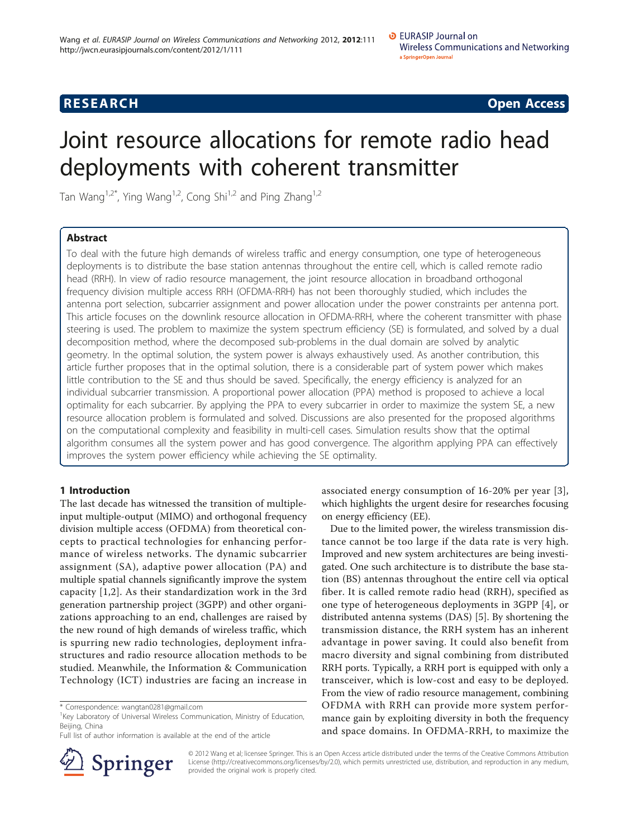### **RESEARCH CONSTRUCTION CONSTRUCTS**

# Joint resource allocations for remote radio head deployments with coherent transmitter

Tan Wang<sup>1,2\*</sup>, Ying Wang<sup>1,2</sup>, Cong Shi<sup>1,2</sup> and Ping Zhang<sup>1,2</sup>

### Abstract

To deal with the future high demands of wireless traffic and energy consumption, one type of heterogeneous deployments is to distribute the base station antennas throughout the entire cell, which is called remote radio head (RRH). In view of radio resource management, the joint resource allocation in broadband orthogonal frequency division multiple access RRH (OFDMA-RRH) has not been thoroughly studied, which includes the antenna port selection, subcarrier assignment and power allocation under the power constraints per antenna port. This article focuses on the downlink resource allocation in OFDMA-RRH, where the coherent transmitter with phase steering is used. The problem to maximize the system spectrum efficiency (SE) is formulated, and solved by a dual decomposition method, where the decomposed sub-problems in the dual domain are solved by analytic geometry. In the optimal solution, the system power is always exhaustively used. As another contribution, this article further proposes that in the optimal solution, there is a considerable part of system power which makes little contribution to the SE and thus should be saved. Specifically, the energy efficiency is analyzed for an individual subcarrier transmission. A proportional power allocation (PPA) method is proposed to achieve a local optimality for each subcarrier. By applying the PPA to every subcarrier in order to maximize the system SE, a new resource allocation problem is formulated and solved. Discussions are also presented for the proposed algorithms on the computational complexity and feasibility in multi-cell cases. Simulation results show that the optimal algorithm consumes all the system power and has good convergence. The algorithm applying PPA can effectively improves the system power efficiency while achieving the SE optimality.

### 1 Introduction

The last decade has witnessed the transition of multipleinput multiple-output (MIMO) and orthogonal frequency division multiple access (OFDMA) from theoretical concepts to practical technologies for enhancing performance of wireless networks. The dynamic subcarrier assignment (SA), adaptive power allocation (PA) and multiple spatial channels significantly improve the system capacity [\[1,2](#page-11-0)]. As their standardization work in the 3rd generation partnership project (3GPP) and other organizations approaching to an end, challenges are raised by the new round of high demands of wireless traffic, which is spurring new radio technologies, deployment infrastructures and radio resource allocation methods to be studied. Meanwhile, the Information & Communication Technology (ICT) industries are facing an increase in

Full list of author information is available at the end of the article



associated energy consumption of 16-20% per year [[3](#page-11-0)], which highlights the urgent desire for researches focusing on energy efficiency (EE).

Due to the limited power, the wireless transmission distance cannot be too large if the data rate is very high. Improved and new system architectures are being investigated. One such architecture is to distribute the base station (BS) antennas throughout the entire cell via optical fiber. It is called remote radio head (RRH), specified as one type of heterogeneous deployments in 3GPP [[4](#page-11-0)], or distributed antenna systems (DAS) [\[5](#page-11-0)]. By shortening the transmission distance, the RRH system has an inherent advantage in power saving. It could also benefit from macro diversity and signal combining from distributed RRH ports. Typically, a RRH port is equipped with only a transceiver, which is low-cost and easy to be deployed. From the view of radio resource management, combining OFDMA with RRH can provide more system performance gain by exploiting diversity in both the frequency and space domains. In OFDMA-RRH, to maximize the

© 2012 Wang et al; licensee Springer. This is an Open Access article distributed under the terms of the Creative Commons Attribution License [\(http://creativecommons.org/licenses/by/2.0](http://creativecommons.org/licenses/by/2.0)), which permits unrestricted use, distribution, and reproduction in any medium, provided the original work is properly cited.

<sup>\*</sup> Correspondence: [wangtan0281@gmail.com](mailto:wangtan0281@gmail.com)

<sup>&</sup>lt;sup>1</sup>Key Laboratory of Universal Wireless Communication, Ministry of Education, Beijing, China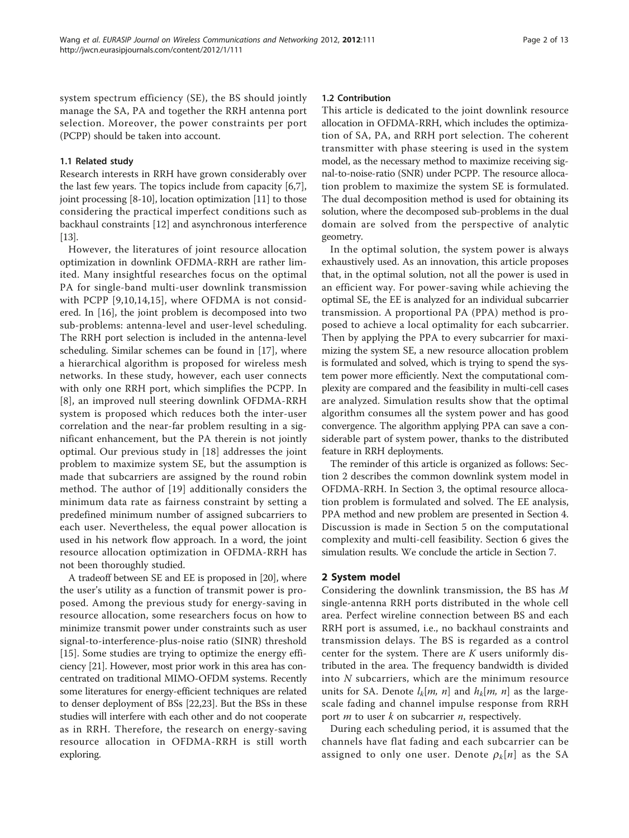system spectrum efficiency (SE), the BS should jointly manage the SA, PA and together the RRH antenna port selection. Moreover, the power constraints per port (PCPP) should be taken into account.

### 1.1 Related study

Research interests in RRH have grown considerably over the last few years. The topics include from capacity [\[6,7](#page-11-0)], joint processing [[8-10\]](#page-11-0), location optimization [[11\]](#page-11-0) to those considering the practical imperfect conditions such as backhaul constraints [[12\]](#page-11-0) and asynchronous interference [[13](#page-11-0)].

However, the literatures of joint resource allocation optimization in downlink OFDMA-RRH are rather limited. Many insightful researches focus on the optimal PA for single-band multi-user downlink transmission with PCPP [[9,10](#page-11-0),[14,15\]](#page-11-0), where OFDMA is not considered. In [[16](#page-11-0)], the joint problem is decomposed into two sub-problems: antenna-level and user-level scheduling. The RRH port selection is included in the antenna-level scheduling. Similar schemes can be found in [[17](#page-11-0)], where a hierarchical algorithm is proposed for wireless mesh networks. In these study, however, each user connects with only one RRH port, which simplifies the PCPP. In [[8](#page-11-0)], an improved null steering downlink OFDMA-RRH system is proposed which reduces both the inter-user correlation and the near-far problem resulting in a significant enhancement, but the PA therein is not jointly optimal. Our previous study in [[18\]](#page-11-0) addresses the joint problem to maximize system SE, but the assumption is made that subcarriers are assigned by the round robin method. The author of [[19\]](#page-12-0) additionally considers the minimum data rate as fairness constraint by setting a predefined minimum number of assigned subcarriers to each user. Nevertheless, the equal power allocation is used in his network flow approach. In a word, the joint resource allocation optimization in OFDMA-RRH has not been thoroughly studied.

A tradeoff between SE and EE is proposed in [\[20\]](#page-12-0), where the user's utility as a function of transmit power is proposed. Among the previous study for energy-saving in resource allocation, some researchers focus on how to minimize transmit power under constraints such as user signal-to-interference-plus-noise ratio (SINR) threshold [[15\]](#page-11-0). Some studies are trying to optimize the energy efficiency [\[21](#page-12-0)]. However, most prior work in this area has concentrated on traditional MIMO-OFDM systems. Recently some literatures for energy-efficient techniques are related to denser deployment of BSs [\[22,23\]](#page-12-0). But the BSs in these studies will interfere with each other and do not cooperate as in RRH. Therefore, the research on energy-saving resource allocation in OFDMA-RRH is still worth exploring.

### 1.2 Contribution

This article is dedicated to the joint downlink resource allocation in OFDMA-RRH, which includes the optimization of SA, PA, and RRH port selection. The coherent transmitter with phase steering is used in the system model, as the necessary method to maximize receiving signal-to-noise-ratio (SNR) under PCPP. The resource allocation problem to maximize the system SE is formulated. The dual decomposition method is used for obtaining its solution, where the decomposed sub-problems in the dual domain are solved from the perspective of analytic geometry.

In the optimal solution, the system power is always exhaustively used. As an innovation, this article proposes that, in the optimal solution, not all the power is used in an efficient way. For power-saving while achieving the optimal SE, the EE is analyzed for an individual subcarrier transmission. A proportional PA (PPA) method is proposed to achieve a local optimality for each subcarrier. Then by applying the PPA to every subcarrier for maximizing the system SE, a new resource allocation problem is formulated and solved, which is trying to spend the system power more efficiently. Next the computational complexity are compared and the feasibility in multi-cell cases are analyzed. Simulation results show that the optimal algorithm consumes all the system power and has good convergence. The algorithm applying PPA can save a considerable part of system power, thanks to the distributed feature in RRH deployments.

The reminder of this article is organized as follows: Section 2 describes the common downlink system model in OFDMA-RRH. In Section 3, the optimal resource allocation problem is formulated and solved. The EE analysis, PPA method and new problem are presented in Section 4. Discussion is made in Section 5 on the computational complexity and multi-cell feasibility. Section 6 gives the simulation results. We conclude the article in Section 7.

### 2 System model

Considering the downlink transmission, the BS has M single-antenna RRH ports distributed in the whole cell area. Perfect wireline connection between BS and each RRH port is assumed, i.e., no backhaul constraints and transmission delays. The BS is regarded as a control center for the system. There are  $K$  users uniformly distributed in the area. The frequency bandwidth is divided into N subcarriers, which are the minimum resource units for SA. Denote  $l_k[m, n]$  and  $h_k[m, n]$  as the largescale fading and channel impulse response from RRH port  $m$  to user  $k$  on subcarrier  $n$ , respectively.

During each scheduling period, it is assumed that the channels have flat fading and each subcarrier can be assigned to only one user. Denote  $\rho_k[n]$  as the SA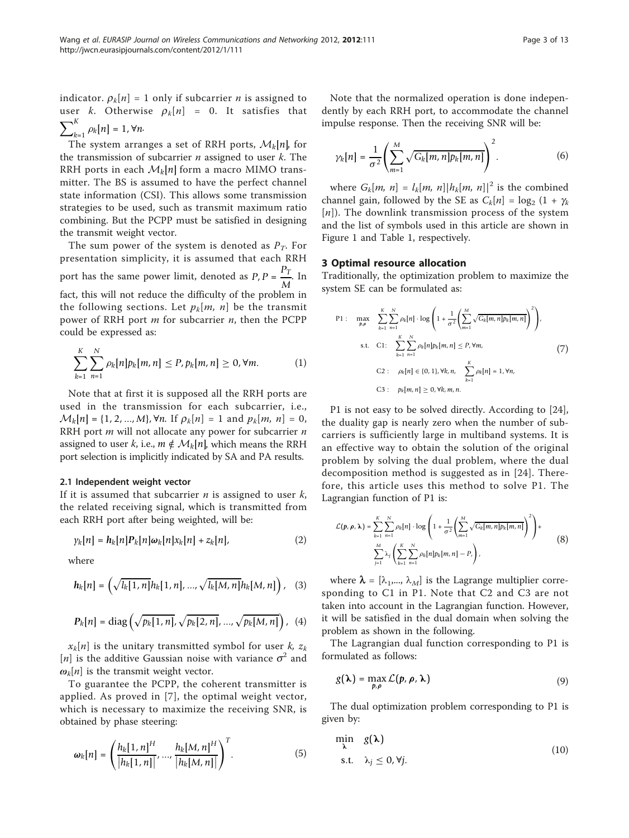indicator.  $\rho_k[n] = 1$  only if subcarrier *n* is assigned to user k. Otherwise  $\rho_k[n] = 0$ . It satisfies that  $\sum_{k=1}^{K} \rho_k[n] = 1, \forall n.$ 

The system arranges a set of RRH ports, *Mk*[*n*], for the transmission of subcarrier  $n$  assigned to user  $k$ . The RRH ports in each  $M_k[n]$  form a macro MIMO transmitter. The BS is assumed to have the perfect channel state information (CSI). This allows some transmission strategies to be used, such as transmit maximum ratio combining. But the PCPP must be satisfied in designing the transmit weight vector.

The sum power of the system is denoted as  $P_T$ . For presentation simplicity, it is assumed that each RRH port has the same power limit, denoted as  $P, P = \frac{P_T}{M}$ . In fact, this will not reduce the difficulty of the problem in the following sections. Let  $p_k[m, n]$  be the transmit power of RRH port  $m$  for subcarrier  $n$ , then the PCPP could be expressed as:

$$
\sum_{k=1}^{K} \sum_{n=1}^{N} \rho_k[n] p_k[m,n] \le P, p_k[m,n] \ge 0, \forall m.
$$
 (1)

Note that at first it is supposed all the RRH ports are used in the transmission for each subcarrier, i.e.,  $\mathcal{M}_k[n] = \{1, 2, ..., M\}, \forall n$ . If  $\rho_k[n] = 1$  and  $p_k[m, n] = 0$ , RRH port  $m$  will not allocate any power for subcarrier  $n$ assigned to user k, i.e.,  $m \notin \mathcal{M}_k[n]$ , which means the RRH port selection is implicitly indicated by SA and PA results.

### 2.1 Independent weight vector

If it is assumed that subcarrier *n* is assigned to user  $k$ , the related receiving signal, which is transmitted from each RRH port after being weighted, will be:

$$
\gamma_k[n] = h_k[n]P_k[n]\omega_k[n]x_k[n] + z_k[n], \qquad (2)
$$

where

$$
h_k[n] = \left(\sqrt{l_k[1,n]}h_k[1,n], ..., \sqrt{l_k[M,n]}h_k[M,n]\right), \quad (3)
$$

$$
P_k[n] = \text{diag}\left(\sqrt{p_k[1,n]}, \sqrt{p_k[2,n]}, ..., \sqrt{p_k[M,n]}\right), (4)
$$

 $x_k[n]$  is the unitary transmitted symbol for user  $k$ ,  $z_k$ [*n*] is the additive Gaussian noise with variance  $\sigma^2$  and  $\omega_k[n]$  is the transmit weight vector.

To guarantee the PCPP, the coherent transmitter is applied. As proved in [[7](#page-11-0)], the optimal weight vector, which is necessary to maximize the receiving SNR, is obtained by phase steering:

$$
\omega_{k}[n] = \left(\frac{h_{k}[1,n]^{H}}{|h_{k}[1,n]|}, \dots, \frac{h_{k}[M,n]^{H}}{|h_{k}[M,n]|}\right)^{T}.
$$
 (5)

Note that the normalized operation is done independently by each RRH port, to accommodate the channel impulse response. Then the receiving SNR will be:

$$
\gamma_k[n] = \frac{1}{\sigma^2} \left( \sum_{m=1}^M \sqrt{G_k[m,n] p_k[m,n]} \right)^2.
$$
 (6)

where  $G_k[m, n] = l_k[m, n] |h_k[m, n]|^2$  is the combined channel gain, followed by the SE as  $C_k[n] = \log_2 (1 + \gamma_k)$  $[n]$ ). The downlink transmission process of the system and the list of symbols used in this article are shown in Figure [1](#page-3-0) and Table [1,](#page-4-0) respectively.

### 3 Optimal resource allocation

Traditionally, the optimization problem to maximize the system SE can be formulated as:

P1: 
$$
\max_{p,\rho} \sum_{k=1}^{K} \sum_{n=1}^{N} \rho_k[n] \cdot \log \left( 1 + \frac{1}{\sigma^2} \left( \sum_{m=1}^{M} \sqrt{G_k[m,n]p_k[m,n]} \right)^2 \right),
$$
  
s.t. CI: 
$$
\sum_{k=1}^{K} \sum_{n=1}^{N} \rho_k[n]p_k[m,n] \le P, \forall m,
$$
  
C2: 
$$
\rho_k[n] \in \{0, 1\}, \forall k, n, \sum_{k=1}^{K} \rho_k[n] = 1, \forall n,
$$
  
C3: 
$$
p_k[m,n] \ge 0, \forall k, m, n.
$$
 (7)

P1 is not easy to be solved directly. According to [\[24](#page-12-0)], the duality gap is nearly zero when the number of subcarriers is sufficiently large in multiband systems. It is an effective way to obtain the solution of the original problem by solving the dual problem, where the dual decomposition method is suggested as in [[24](#page-12-0)]. Therefore, this article uses this method to solve P1. The Lagrangian function of P1 is:

$$
\mathcal{L}(\boldsymbol{p}, \boldsymbol{\rho}, \boldsymbol{\lambda}) = \sum_{k=1}^{K} \sum_{n=1}^{N} \rho_k[n] \cdot \log \left( 1 + \frac{1}{\sigma^2} \left( \sum_{m=1}^{M} \sqrt{G_k[m, n] p_k[m, n]} \right)^2 \right) + \sum_{j=1}^{M} \lambda_j \left( \sum_{k=1}^{K} \sum_{n=1}^{N} \rho_k[n] p_k[m, n] - P_j \right), \tag{8}
$$

where  $\boldsymbol{\lambda} = [\lambda_1, ..., \lambda_M]$  is the Lagrange multiplier corresponding to C1 in P1. Note that C2 and C3 are not taken into account in the Lagrangian function. However, it will be satisfied in the dual domain when solving the problem as shown in the following.

The Lagrangian dual function corresponding to P1 is formulated as follows:

$$
g(\lambda) = \max_{p,\rho} \mathcal{L}(p,\rho,\lambda) \tag{9}
$$

The dual optimization problem corresponding to P1 is given by:

$$
\min_{\lambda} g(\lambda) \ns.t. \lambda_j \leq 0, \forall j.
$$
\n(10)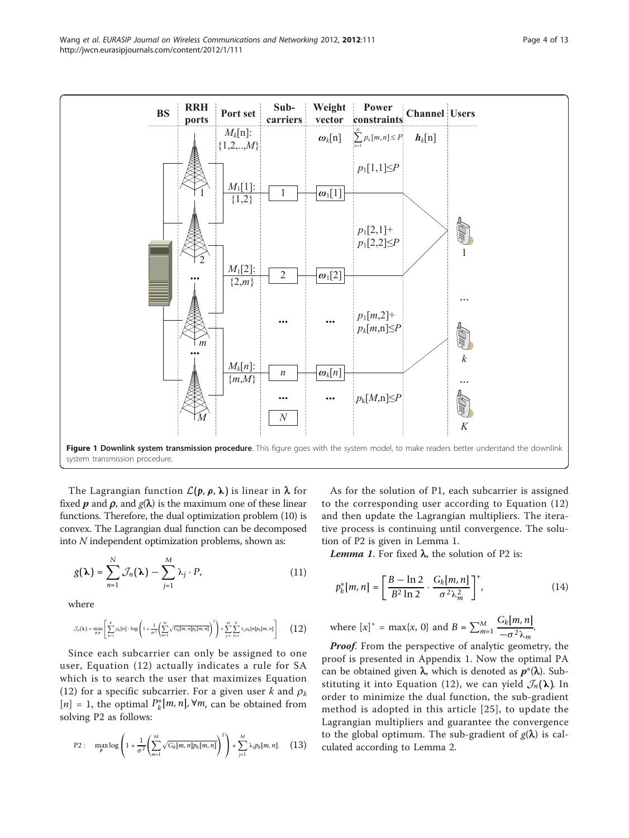<span id="page-3-0"></span>

The Lagrangian function  $\mathcal{L}(\mathbf{p}, \mathbf{p}, \lambda)$  is linear in  $\lambda$  for fixed  $p$  and  $p$ , and  $g(\lambda)$  is the maximum one of these linear functions. Therefore, the dual optimization problem (10) is convex. The Lagrangian dual function can be decomposed into N independent optimization problems, shown as:

$$
g(\lambda) = \sum_{n=1}^{N} \mathcal{J}_n(\lambda) - \sum_{j=1}^{M} \lambda_j \cdot P, \qquad (11)
$$

where

$$
\mathcal{J}_n(\textbf{\textit{\textbf{X}}})=\max_{p,\rho}\left[\sum_{k=1}^K \rho_k[n]\cdot \log\left(1+\frac{1}{\sigma^2}\left(\sum_{m=1}^M \sqrt{G_k[m,n]p_k[m,n]}\right)^2\right)+\sum_{j=1}^M\sum_{k=1}^K \lambda_j\rho_k[n]p_k[m,n]\right]\text{.}\qquad \textbf{(12)}
$$

Since each subcarrier can only be assigned to one user, Equation (12) actually indicates a rule for SA which is to search the user that maximizes Equation (12) for a specific subcarrier. For a given user k and  $\rho_k$  $[n] = 1$ , the optimal  $P_k^* [m, n]$ ,  $\forall m$ , can be obtained from solving P2 as follows: solving P2 as follows:

$$
\text{P2}: \quad \max_{p} \log \left( 1 + \frac{1}{\sigma^2} \left( \sum_{m=1}^{M} \sqrt{G_k[m, n] p_k[m, n]} \right)^2 \right) + \sum_{j=1}^{M} \lambda_j p_k[m, n]. \tag{13}
$$

As for the solution of P1, each subcarrier is assigned to the corresponding user according to Equation (12) and then update the Lagrangian multipliers. The iterative process is continuing until convergence. The solution of P2 is given in Lemma 1.

Lemma 1. For fixed  $\lambda$ , the solution of P2 is:

$$
p_k^*[m, n] = \left[\frac{B - \ln 2}{B^2 \ln 2} \cdot \frac{G_k[m, n]}{\sigma^2 \lambda_m^2}\right]^+,
$$
 (14)

where  $[x]^{+} = \max\{x, 0\}$  and  $B = \sum_{m=1}^{M}$ *Gk*[*m*, *n*]  $\frac{-\sigma^2\lambda_m}{-\sigma^2\lambda_m}$ 

Proof. From the perspective of analytic geometry, the proof is presented in Appendix 1. Now the optimal PA can be obtained given  $\lambda$ , which is denoted as  $p^*(\lambda)$ . Substituting it into Equation (12), we can yield  $\mathcal{J}_n(\lambda)$ . In order to minimize the dual function, the sub-gradient method is adopted in this article [[25](#page-12-0)], to update the Lagrangian multipliers and guarantee the convergence to the global optimum. The sub-gradient of  $g(\lambda)$  is calculated according to Lemma 2.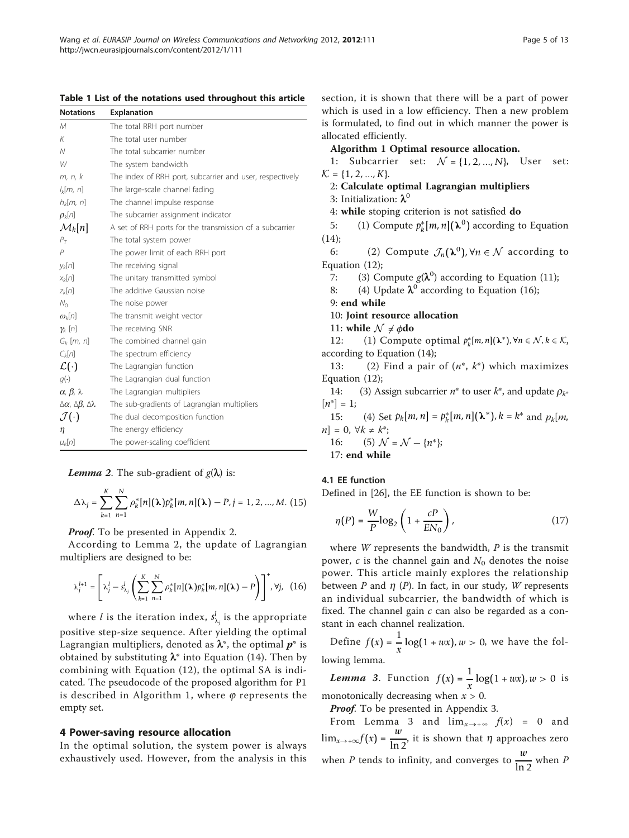| <b>Notations</b>               | <b>Explanation</b>                                       |
|--------------------------------|----------------------------------------------------------|
| М                              | The total RRH port number                                |
| Κ                              | The total user number                                    |
| N                              | The total subcarrier number                              |
| W                              | The system bandwidth                                     |
| m, n, k                        | The index of RRH port, subcarrier and user, respectively |
| $l_k[m, n]$                    | The large-scale channel fading                           |
| $h_k[m, n]$                    | The channel impulse response                             |
| $\rho_k[n]$                    | The subcarrier assignment indicator                      |
| $\mathcal{M}_k[n]$             | A set of RRH ports for the transmission of a subcarrier  |
| $P_T$                          | The total system power                                   |
| P                              | The power limit of each RRH port                         |
| $y_k[n]$                       | The receiving signal                                     |
| $x_k[n]$                       | The unitary transmitted symbol                           |
| $Z_k[n]$                       | The additive Gaussian noise                              |
| $N_{\Omega}$                   | The noise power                                          |
| $\omega_k[n]$                  | The transmit weight vector                               |
| $\gamma_k$ [n]                 | The receiving SNR                                        |
| $G_k$ [m, n]                   | The combined channel gain                                |
| $C_k[n]$                       | The spectrum efficiency                                  |
| $\mathcal{L}(\cdot)$           | The Lagrangian function                                  |
| $q(\cdot)$                     | The Lagrangian dual function                             |
| $\alpha$ , $\beta$ , $\lambda$ | The Lagrangian multipliers                               |
| $\Delta \alpha$ , Δβ, Δλ       | The sub-gradients of Lagrangian multipliers              |
| $\mathcal{J}(\cdot)$           | The dual decomposition function                          |
| η                              | The energy efficiency                                    |
| $\mu_k[n]$                     | The power-scaling coefficient                            |

<span id="page-4-0"></span>Table 1 List of the notations used throughout this article

**Lemma 2.** The sub-gradient of  $g(\lambda)$  is:

$$
\Delta\lambda_j = \sum_{k=1}^K \sum_{n=1}^N \rho_k^*[n](\lambda) p_k^*[m, n](\lambda) - P, j = 1, 2, ..., M. (15)
$$

*Proof.* To be presented in Appendix 2.

According to Lemma 2, the update of Lagrangian multipliers are designed to be:

$$
\lambda_j^{l+1} = \left[\lambda_j^l - s_{\lambda_j}^l \left(\sum_{k=1}^K \sum_{n=1}^N \rho_k^*[n](\lambda) p_k^*[m,n](\lambda) - P\right)\right]^+, \forall j, \ (16)
$$

where *l* is the iteration index,  $s_{\lambda_j}^l$  is the appropriate positive step-size sequence. After yielding the optimal Lagrangian multipliers, denoted as  $\lambda^*$ , the optimal  $p^*$  is obtained by substituting  $\lambda^*$  into Equation (14). Then by combining with Equation (12), the optimal SA is indicated. The pseudocode of the proposed algorithm for P1 is described in Algorithm 1, where  $\varphi$  represents the empty set.

### 4 Power-saving resource allocation

In the optimal solution, the system power is always exhaustively used. However, from the analysis in this section, it is shown that there will be a part of power which is used in a low efficiency. Then a new problem is formulated, to find out in which manner the power is allocated efficiently.

### Algorithm 1 Optimal resource allocation.

1: Subcarrier set: *N* = {1, 2, ..., *N*}, User set:  $K = \{1, 2, ..., K\}.$ 

### 2: Calculate optimal Lagrangian multipliers

3: Initialization:  $\lambda^0$ 

4: while stoping criterion is not satisfied do

5: (1) Compute  $p_k^* [m, n] (\lambda^0)$  according to Equation  $(14);$ 

6: (2) Compute  $\mathcal{J}_n(\lambda^0)$ ,  $\forall n \in \mathcal{N}$  according to Equation (12);

7: (3) Compute  $g(\lambda^0)$  according to Equation (11);<br>8. (4) Undate  $\lambda^0$  according to Equation (16);

8: (4) Update  $\lambda^0$  according to Equation (16);

9: end while

10: Joint resource allocation

11: while  $\mathcal{N} \neq \phi$ do<br>12: (1) Comput

12: (1) Compute optimal  $p_k^*[m, n](\lambda^*)$ ,  $\forall n \in \mathcal{N}, k \in \mathcal{K}$ , according to Equation (14);

13: (2) Find a pair of  $(n^*, k^*)$  which maximizes Equation (12);

14: (3) Assign subcarrier  $n^*$  to user  $k^*$ , and update  $\rho_{k^*}$  $[n^*] = 1;$ <br>15:

15: (4) Set  $p_k[m, n] = p_k^* [m, n] (\lambda^*)$ ,  $k = k^*$  and  $p_k[m, n]$  $[n] = 0, \forall k \neq k^*;$ <br>16: (5)  $\mathcal{N}$ 

 $(5)$  *N* = *N* − {*n*<sup>\*</sup>}; 17: end while

### 4.1 EE function

Defined in [\[26\]](#page-12-0), the EE function is shown to be:

$$
\eta(P) = \frac{W}{P} \log_2 \left( 1 + \frac{cP}{EN_0} \right),\tag{17}
$$

where  $W$  represents the bandwidth,  $P$  is the transmit power,  $c$  is the channel gain and  $N_0$  denotes the noise power. This article mainly explores the relationship between P and  $\eta$  (P). In fact, in our study, W represents an individual subcarrier, the bandwidth of which is fixed. The channel gain  $c$  can also be regarded as a constant in each channel realization.

Define  $f(x) = \frac{1}{x} \log(1 + wx)$ ,  $w > 0$ , we have the following lemma.

*Lemma 3.* Function  $f(x) = \frac{1}{x} \log(1 + wx)$ ,  $w > 0$  is monotonically decreasing when  $x > 0$ .

**Proof.** To be presented in Appendix 3.

From Lemma 3 and  $\lim_{x\to+\infty} f(x) = 0$  and lim<sub>*x*→+∞</sub> $f(x) = \frac{w}{\ln 2}$ , it is shown that  $\eta$  approaches zero when *P* tends to infinity, and converges to  $\frac{w}{\ln 2}$  when *P*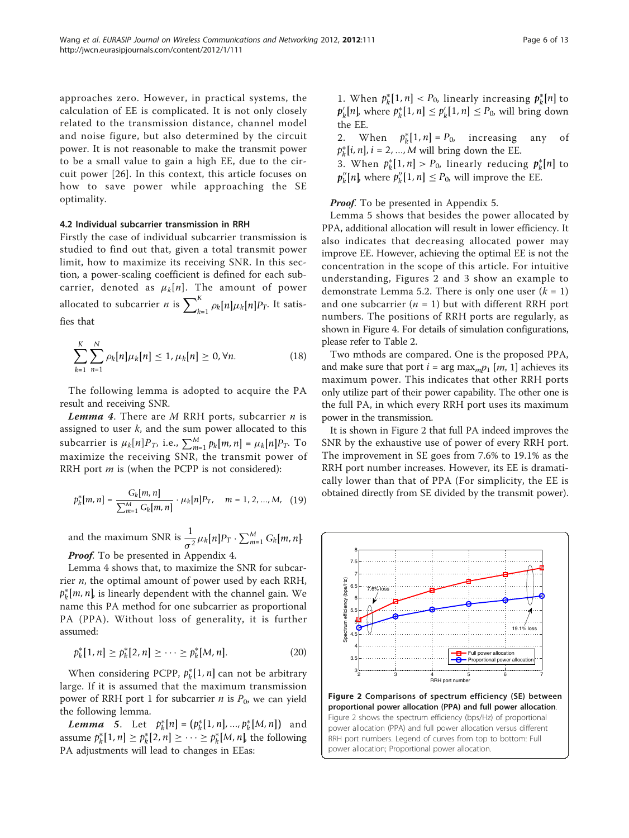approaches zero. However, in practical systems, the calculation of EE is complicated. It is not only closely related to the transmission distance, channel model and noise figure, but also determined by the circuit power. It is not reasonable to make the transmit power to be a small value to gain a high EE, due to the circuit power [[26](#page-12-0)]. In this context, this article focuses on how to save power while approaching the SE optimality.

### 4.2 Individual subcarrier transmission in RRH

Firstly the case of individual subcarrier transmission is studied to find out that, given a total transmit power limit, how to maximize its receiving SNR. In this section, a power-scaling coefficient is defined for each subcarrier, denoted as  $\mu_k[n]$ . The amount of power allocated to subcarrier *n* is  $\sum_{k=1}^{K} \rho_k[n] \mu_k[n] P_T$ . It satisfies that

$$
\sum_{k=1}^{K} \sum_{n=1}^{N} \rho_k[n] \mu_k[n] \le 1, \mu_k[n] \ge 0, \forall n.
$$
 (18)

The following lemma is adopted to acquire the PA result and receiving SNR.

**Lemma 4.** There are  $M$  RRH ports, subcarrier  $n$  is assigned to user  $k$ , and the sum power allocated to this subcarrier is  $\mu_k[n]P_T$ , i.e.,  $\sum_{m=1}^{M} p_k[m,n] = \mu_k[n]P_T$ . To maximize the receiving SNR, the transmit power of RRH port  $m$  is (when the PCPP is not considered):

$$
p_k^*[m,n] = \frac{G_k[m,n]}{\sum_{m=1}^M G_k[m,n]} \cdot \mu_k[n] P_T, \quad m = 1, 2, ..., M, \quad (19)
$$

and the maximum SNR is  $\frac{1}{\sigma^2} \mu_k[n] P_T \cdot \sum_{m=1}^M G_k[m, n].$ 

**Proof.** To be presented in Appendix 4.

Lemma 4 shows that, to maximize the SNR for subcarrier  $n$ , the optimal amount of power used by each RRH, *p*∗ *<sup>k</sup>* [*m*, *n*], is linearly dependent with the channel gain. We name this PA method for one subcarrier as proportional PA (PPA). Without loss of generality, it is further assumed:

$$
p_k^*[1, n] \ge p_k^*[2, n] \ge \cdots \ge p_k^*[M, n]. \tag{20}
$$

When considering PCPP, *p*<sup>∗</sup> *<sup>k</sup>* [1, *n*] can not be arbitrary large. If it is assumed that the maximum transmission power of RRH port 1 for subcarrier  $n$  is  $P_0$ , we can yield the following lemma.

*Lemma* 5. Let  $p_k^*[n] = (p_k^*[1, n], ..., p_k^*[M, n])$  and assume  $p_k^*[1, n] \geq p_k^*[2, n] \geq \cdots \geq p_k^*[M, n]$ , the following PA adjustments will lead to changes in EEas:

1. When  $p_k^*[1, n] < P_0$ , linearly increasing  $p_k^*[n]$  to  $p'_{k}[n]$ , where  $p_{k}^{*}[1, n] \leq p'_{k}[1, n] \leq P_{0}$ , will bring down the EE.

2. When  $p_k^*[1, n] = P_0$ , increasing any of  $p_k^*[i, n]$ ,  $i = 2, ..., M$  will bring down the EE.

3. When  $p_k^*[1, n] > P_0$ , linearly reducing  $p_k^*[n]$  to  $p_k''[n]$ , where  $p_k''[1, n] \leq P_0$ , will improve the EE.

*Proof.* To be presented in Appendix 5.

Lemma 5 shows that besides the power allocated by PPA, additional allocation will result in lower efficiency. It also indicates that decreasing allocated power may improve EE. However, achieving the optimal EE is not the concentration in the scope of this article. For intuitive understanding, Figures 2 and [3](#page-6-0) show an example to demonstrate Lemma 5.2. There is only one user  $(k = 1)$ and one subcarrier ( $n = 1$ ) but with different RRH port numbers. The positions of RRH ports are regularly, as shown in Figure [4](#page-6-0). For details of simulation configurations, please refer to Table [2](#page-6-0).

Two mthods are compared. One is the proposed PPA, and make sure that port  $i = \arg \max_{m} p_1 [m, 1]$  achieves its maximum power. This indicates that other RRH ports only utilize part of their power capability. The other one is the full PA, in which every RRH port uses its maximum power in the transmission.

It is shown in Figure 2 that full PA indeed improves the SNR by the exhaustive use of power of every RRH port. The improvement in SE goes from 7.6% to 19.1% as the RRH port number increases. However, its EE is dramatically lower than that of PPA (For simplicity, the EE is obtained directly from SE divided by the transmit power).



Figure 2 Comparisons of spectrum efficiency (SE) between proportional power allocation (PPA) and full power allocation. Figure 2 shows the spectrum efficiency (bps/Hz) of proportional power allocation (PPA) and full power allocation versus different RRH port numbers. Legend of curves from top to bottom: Full power allocation; Proportional power allocation.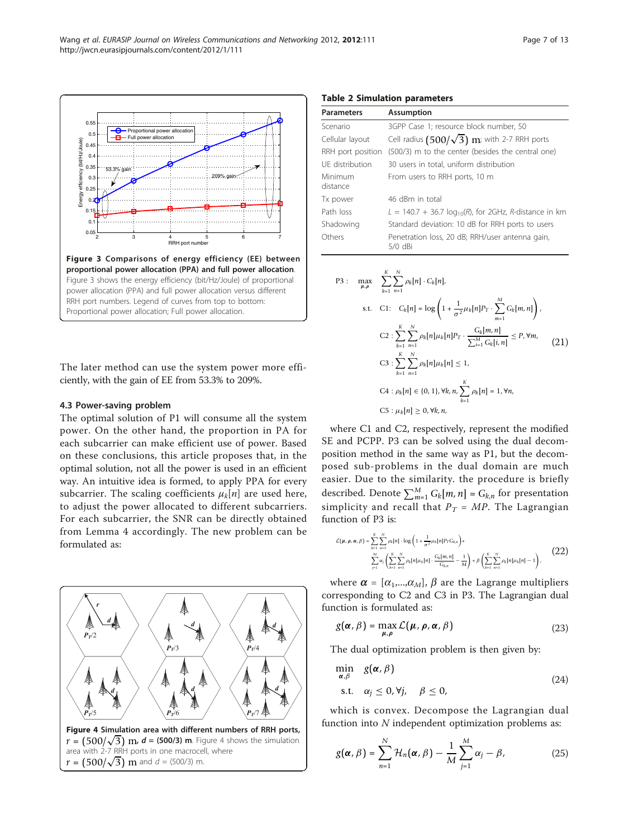<span id="page-6-0"></span>

The later method can use the system power more efficiently, with the gain of EE from 53.3% to 209%.

### 4.3 Power-saving problem

*r*

The optimal solution of P1 will consume all the system power. On the other hand, the proportion in PA for each subcarrier can make efficient use of power. Based on these conclusions, this article proposes that, in the optimal solution, not all the power is used in an efficient way. An intuitive idea is formed, to apply PPA for every subcarrier. The scaling coefficients  $\mu_k[n]$  are used here, to adjust the power allocated to different subcarriers. For each subcarrier, the SNR can be directly obtained from Lemma 4 accordingly. The new problem can be formulated as:

*d*  $\rightarrow$  (  $d$   $d$   $\rightarrow$  (  $d$   $d$   $d$ *d*  $\rightarrow$   $\langle$  **A***d*  $\rightarrow$   $\langle$  **A***d*  $P<sub>x</sub>/2$  $P_T$ /3 /  $\sqrt{P_T}$ /4  $P_T$ /5 /  $\sqrt{P_T}$ /6 /  $\sqrt{P_T}$ /7 Figure 4 Simulation area with different numbers of RRH ports,  $r = (500/\sqrt{3})$  m,  $d = (500/3)$  m. Figure 4 shows the simulation area with 2-7 RRH ports in one macrocell, where  $r = (500/\sqrt{3})$  m and  $d = (500/3)$  m.

Table 2 Simulation parameters

| <b>Parameters</b>   | <b>Assumption</b>                                            |
|---------------------|--------------------------------------------------------------|
| Scenario            | 3GPP Case 1; resource block number, 50                       |
| Cellular layout     | Cell radius $(500/\sqrt{3})$ m; with 2-7 RRH ports           |
| RRH port position   | (500/3) m to the center (besides the central one)            |
| UF distribution     | 30 users in total, uniform distribution                      |
| Minimum<br>distance | From users to RRH ports, 10 m                                |
| Tx power            | 46 dBm in total                                              |
| Path loss           | $L = 140.7 + 36.7 \log_{10}(R)$ , for 2GHz, R-distance in km |
| Shadowing           | Standard deviation: 10 dB for RRH ports to users             |
| Others              | Penetration loss, 20 dB; RRH/user antenna gain,<br>$5/0$ dBi |

P3: 
$$
\max_{\mu,\rho} \sum_{k=1}^{K} \sum_{n=1}^{N} \rho_k[n] \cdot C_k[n],
$$
  
s.t. C1:  $C_k[n] = \log \left( 1 + \frac{1}{\sigma^2} \mu_k[n]P_T \cdot \sum_{m=1}^{M} G_k[m,n] \right),$   

$$
C2: \sum_{k=1}^{K} \sum_{n=1}^{N} \rho_k[n] \mu_k[n]P_T \cdot \frac{G_k[m,n]}{\sum_{i=1}^{M} G_k[i,n]} \leq P, \forall m,
$$
  

$$
C3: \sum_{k=1}^{K} \sum_{n=1}^{N} \rho_k[n] \mu_k[n] \leq 1,
$$
  

$$
C4: \rho_k[n] \in \{0,1\}, \forall k, n, \sum_{k=1}^{K} \rho_k[n] = 1, \forall n,
$$
  

$$
C5: \mu_k[n] \geq 0, \forall k, n,
$$

where C1 and C2, respectively, represent the modified SE and PCPP. P3 can be solved using the dual decomposition method in the same way as P1, but the decomposed sub-problems in the dual domain are much easier. Due to the similarity. the procedure is briefly described. Denote  $\sum_{m=1}^{M} G_k[m, n] = G_{k,n}$  for presentation simplicity and recall that  $P_T = MP$ . The Lagrangian function of P3 is:

$$
\mathcal{L}(\mu, \rho, \alpha, \beta) = \sum_{k=1}^{K} \sum_{n=1}^{N} \rho_k[n] \cdot \log \left( 1 + \frac{1}{\sigma^2} \mu_k[n] P_T G_{k,n} \right) + \sum_{j=1}^{M} \alpha_j \left( \sum_{k=1}^{K} \sum_{n=1}^{N} \rho_k[n] \mu_k[n] \cdot \frac{G_k[m,n]}{G_{k,n}} - \frac{1}{M} \right) + \beta \left( \sum_{k=1}^{K} \sum_{n=1}^{N} \rho_k[n] \mu_k[n] - 1 \right), \tag{22}
$$

where  $\alpha = [\alpha_1,...,\alpha_M]$ ,  $\beta$  are the Lagrange multipliers corresponding to C2 and C3 in P3. The Lagrangian dual function is formulated as:

$$
g(\boldsymbol{\alpha}, \boldsymbol{\beta}) = \max_{\boldsymbol{\mu}, \boldsymbol{\rho}} \mathcal{L}(\boldsymbol{\mu}, \boldsymbol{\rho}, \boldsymbol{\alpha}, \boldsymbol{\beta})
$$
(23)

The dual optimization problem is then given by:

$$
\min_{\alpha,\beta} g(\alpha,\beta)
$$
  
s.t.  $\alpha_j \le 0, \forall j, \quad \beta \le 0,$  (24)

which is convex. Decompose the Lagrangian dual function into  $N$  independent optimization problems as:

$$
g(\boldsymbol{\alpha}, \boldsymbol{\beta}) = \sum_{n=1}^{N} \mathcal{H}_n(\boldsymbol{\alpha}, \boldsymbol{\beta}) - \frac{1}{M} \sum_{j=1}^{M} \alpha_j - \boldsymbol{\beta},
$$
 (25)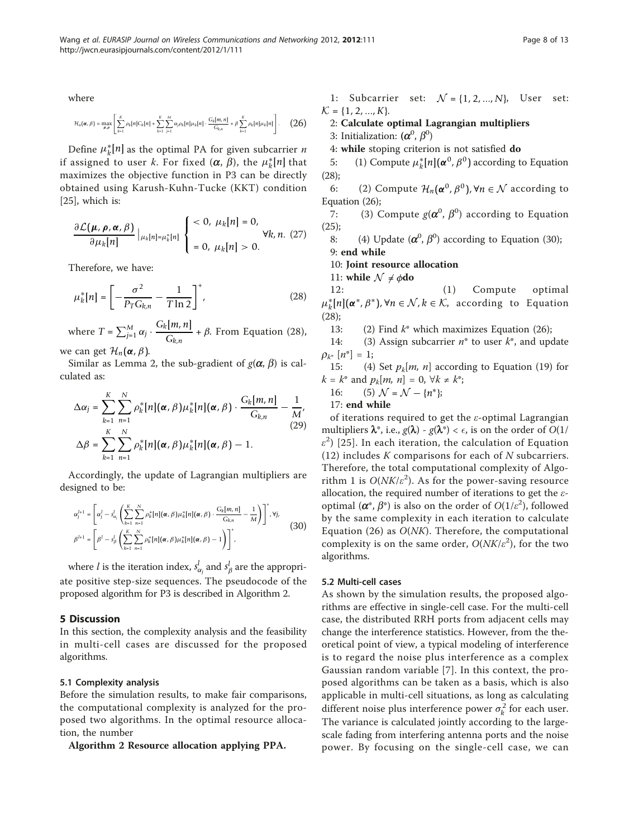where

$$
\mathcal{H}_n(\boldsymbol{\alpha},\boldsymbol{\beta}) = \max_{\mu,\rho} \left[ \sum_{k=1}^K \rho_k[n] C_k[n] + \sum_{k=1}^K \sum_{j=1}^M \alpha_j \rho_k[n] \mu_k[n] \cdot \frac{C_k[m,n]}{C_{k,n}} + \beta \sum_{k=1}^K \rho_k[n] \mu_k[n] \right].
$$
 (26)

Define  $\mu_k^*[n]$  as the optimal PA for given subcarrier *n*<br>assigned to user  $k$ . For fixed  $(\alpha, \beta)$ , the  $\mu^*[n]$  that if assigned to user *k*. For fixed  $(α, β)$ , the  $μ_k^*[n]$  that maximizes the objective function in P3 can be directly maximizes the objective function in P3 can be directly obtained using Karush-Kuhn-Tucke (KKT) condition [[25\]](#page-12-0), which is:

$$
\frac{\partial \mathcal{L}(\boldsymbol{\mu}, \boldsymbol{\rho}, \boldsymbol{\alpha}, \beta)}{\partial \mu_k[n]} \bigg|_{\mu_k[n] = \mu_k^* [n]} \begin{cases} < 0, \mu_k[n] = 0, \\ & \forall k, n. \ (27) \\ = 0, \ \mu_k[n] > 0. \end{cases}
$$

Therefore, we have:

$$
\mu_k^*[n] = \left[ -\frac{\sigma^2}{P_T G_{k,n}} - \frac{1}{T \ln 2} \right]^+, \tag{28}
$$

where  $T = \sum_{j=1}^{M} \alpha_j \cdot \frac{G_k[m,n]}{G_k}$  $\frac{F_1(n, n)}{G_{k,n}}$  +  $\beta$ . From Equation (28),

we can get *Hn*(*α*, β).

Similar as Lemma 2, the sub-gradient of  $g(\alpha, \beta)$  is calculated as:

$$
\Delta \alpha_j = \sum_{k=1}^K \sum_{n=1}^N \rho_k^* [n] (\boldsymbol{\alpha}, \boldsymbol{\beta}) \mu_k^* [n] (\boldsymbol{\alpha}, \boldsymbol{\beta}) \cdot \frac{G_k[m, n]}{G_{k,n}} - \frac{1}{M},
$$
  

$$
\Delta \beta = \sum_{k=1}^K \sum_{n=1}^N \rho_k^* [n] (\boldsymbol{\alpha}, \boldsymbol{\beta}) \mu_k^* [n] (\boldsymbol{\alpha}, \boldsymbol{\beta}) - 1.
$$
 (29)

Accordingly, the update of Lagrangian multipliers are designed to be:

$$
\alpha_j^{l+1} = \left[ \alpha_j^l - s_{\alpha_j}^l \left( \sum_{k=1}^K \sum_{n=1}^N \rho_k^* [n] (\alpha, \beta) \mu_k^* [n] (\alpha, \beta) \cdot \frac{G_k[m,n]}{G_{k,n}} - \frac{1}{M} \right) \right]^*, \forall j,
$$
  

$$
\beta^{l+1} = \left[ \beta^l - s_{\beta}^l \left( \sum_{k=1}^K \sum_{n=1}^N \rho_k^* [n] (\alpha, \beta) \mu_k^* [n] (\alpha, \beta) - 1 \right) \right]^*,
$$
 (30)

where *l* is the iteration index,  $s_{\alpha_j}^l$  and  $s_{\beta}^l$  are the appropriate positive step-size sequences. The pseudocode of the proposed algorithm for P3 is described in Algorithm 2.

### 5 Discussion

In this section, the complexity analysis and the feasibility in multi-cell cases are discussed for the proposed algorithms.

### 5.1 Complexity analysis

Before the simulation results, to make fair comparisons, the computational complexity is analyzed for the proposed two algorithms. In the optimal resource allocation, the number

Algorithm 2 Resource allocation applying PPA.

1: Subcarrier set: *N* = {1, 2, ..., *N*}, User set:  $K = \{1, 2, ..., K\}.$ 

## 2: Calculate optimal Lagrangian multipliers 3: Initialization:  $(\boldsymbol{\alpha}^0, \boldsymbol{\beta}^0)$

4: while stoping criterion is not satisfied do

5: (1) Compute  $\mu_k^*[n](\boldsymbol{\alpha}^0, \boldsymbol{\beta}^0)$  according to Equation (28);

6: (2) Compute  $\mathcal{H}_n(\boldsymbol{\alpha}^0, \beta^0)$ ,  $\forall n \in \mathcal{N}$  according to Equation (26);

7: (3) Compute  $g(\boldsymbol{\alpha}^0, \boldsymbol{\beta}^0)$  according to Equation (25);

8: (4) Update  $(\alpha^0, \beta^0)$  according to Equation (30);<br>9: and while 9: end while

10: Joint resource allocation

11: while  $\mathcal{N} \neq \phi$ do<br>12:

12: (1) Compute optimal μ∗ *<sup>k</sup>* [*n*](*α*∗, β∗), ∀*n* ∈ *N* , *k* ∈ *K*, according to Equation (28);

13: (2) Find  $k^*$  which maximizes Equation (26);<br>14: (3) Assign subcarrier  $n^*$  to user  $k^*$ , and upo

(3) Assign subcarrier  $n^*$  to user  $k^*$ , and update  $\rho_{k^*} [n^*] = 1;$ <br>15: (4)

(4) Set  $p_k[m, n]$  according to Equation (19) for  $k = k^*$  and  $p_k[m, n] = 0, \forall k \neq k^*;$ <br>16: (5)  $\mathcal{N} = \mathcal{N} - \{n^*\}:$ 

16: (5) 
$$
\mathcal{N} = \mathcal{N} - \{n^*\};
$$

17: end while

of iterations required to get the  $\varepsilon$ -optimal Lagrangian multipliers  $\lambda^*$ , i.e.,  $g(\lambda) - g(\lambda^*) < \epsilon$ , is on the order of  $O(1/\epsilon)$  $\varepsilon^2$ ) [[25](#page-12-0)]. In each iteration, the calculation of Equation (12) includes  $K$  comparisons for each of  $N$  subcarriers. Therefore, the total computational complexity of Algorithm 1 is  $O(NK/\varepsilon^2)$ . As for the power-saving resource<br>allocation, the required number of iterations to get the sallocation, the required number of iterations to get the εoptimal  $(\boldsymbol{\alpha}^*, \boldsymbol{\beta}^*)$  is also on the order of  $O(1/\varepsilon^2)$ , followed<br>by the same complexity in each iteration to calculate by the same complexity in each iteration to calculate Equation (26) as  $O(NK)$ . Therefore, the computational complexity is on the same order,  $O(NK/\varepsilon^2)$ , for the two<br>algorithms algorithms.

### 5.2 Multi-cell cases

As shown by the simulation results, the proposed algorithms are effective in single-cell case. For the multi-cell case, the distributed RRH ports from adjacent cells may change the interference statistics. However, from the theoretical point of view, a typical modeling of interference is to regard the noise plus interference as a complex Gaussian random variable [[7](#page-11-0)]. In this context, the proposed algorithms can be taken as a basis, which is also applicable in multi-cell situations, as long as calculating different noise plus interference power  $\sigma_k^2$  for each user. The variance is calculated jointly according to the largescale fading from interfering antenna ports and the noise power. By focusing on the single-cell case, we can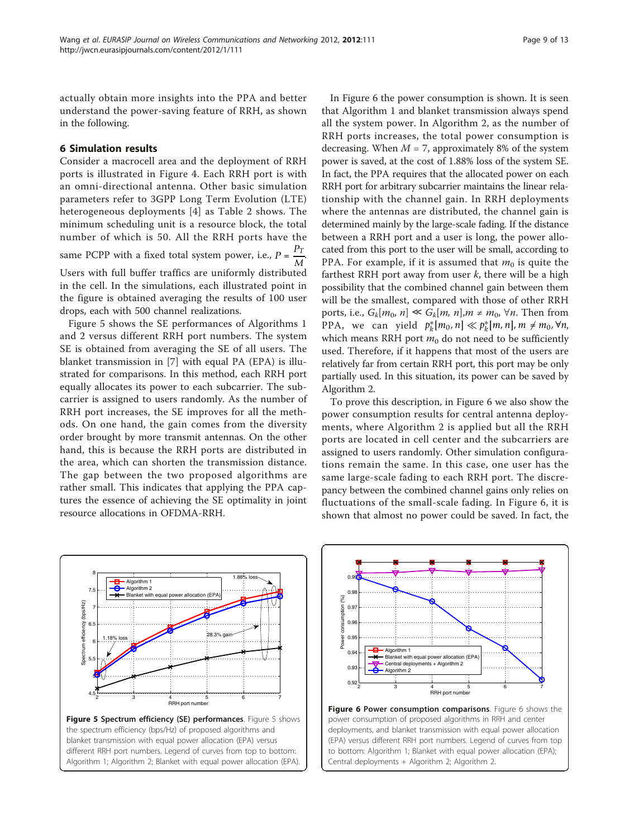actually obtain more insights into the PPA and better understand the power-saving feature of RRH, as shown in the following.

### 6 Simulation results

Consider a macrocell area and the deployment of RRH ports is illustrated in Figure [4.](#page-6-0) Each RRH port is with an omni-directional antenna. Other basic simulation parameters refer to 3GPP Long Term Evolution (LTE) heterogeneous deployments [\[4\]](#page-11-0) as Table [2](#page-6-0) shows. The minimum scheduling unit is a resource block, the total number of which is 50. All the RRH ports have the same PCPP with a fixed total system power, i.e.,  $P = \frac{P_T}{M}$ . Users with full buffer traffics are uniformly distributed in the cell. In the simulations, each illustrated point in the figure is obtained averaging the results of 100 user drops, each with 500 channel realizations.

Figure 5 shows the SE performances of Algorithms 1 and 2 versus different RRH port numbers. The system SE is obtained from averaging the SE of all users. The blanket transmission in [\[7](#page-11-0)] with equal PA (EPA) is illustrated for comparisons. In this method, each RRH port equally allocates its power to each subcarrier. The subcarrier is assigned to users randomly. As the number of RRH port increases, the SE improves for all the methods. On one hand, the gain comes from the diversity order brought by more transmit antennas. On the other hand, this is because the RRH ports are distributed in the area, which can shorten the transmission distance. The gap between the two proposed algorithms are rather small. This indicates that applying the PPA captures the essence of achieving the SE optimality in joint resource allocations in OFDMA-RRH.

In Figure 6 the power consumption is shown. It is seen that Algorithm 1 and blanket transmission always spend all the system power. In Algorithm 2, as the number of RRH ports increases, the total power consumption is decreasing. When  $M = 7$ , approximately 8% of the system power is saved, at the cost of 1.88% loss of the system SE. In fact, the PPA requires that the allocated power on each RRH port for arbitrary subcarrier maintains the linear relationship with the channel gain. In RRH deployments where the antennas are distributed, the channel gain is determined mainly by the large-scale fading. If the distance between a RRH port and a user is long, the power allocated from this port to the user will be small, according to PPA. For example, if it is assumed that  $m_0$  is quite the farthest RRH port away from user  $k$ , there will be a high possibility that the combined channel gain between them will be the smallest, compared with those of other RRH ports, i.e.,  $G_k[m_0, n] \ll G_k[m, n], m \neq m_0, \forall n$ . Then from PPA, we can yield  $p_k^*[m_0, n] \ll p_k^*[m, n]$ ,  $m \neq m_0$ ,  $\forall n$ , which means RRH port  $m_0$  do not need to be sufficiently used. Therefore, if it happens that most of the users are relatively far from certain RRH port, this port may be only partially used. In this situation, its power can be saved by Algorithm 2.

To prove this description, in Figure 6 we also show the power consumption results for central antenna deployments, where Algorithm 2 is applied but all the RRH ports are located in cell center and the subcarriers are assigned to users randomly. Other simulation configurations remain the same. In this case, one user has the same large-scale fading to each RRH port. The discrepancy between the combined channel gains only relies on fluctuations of the small-scale fading. In Figure 6, it is shown that almost no power could be saved. In fact, the





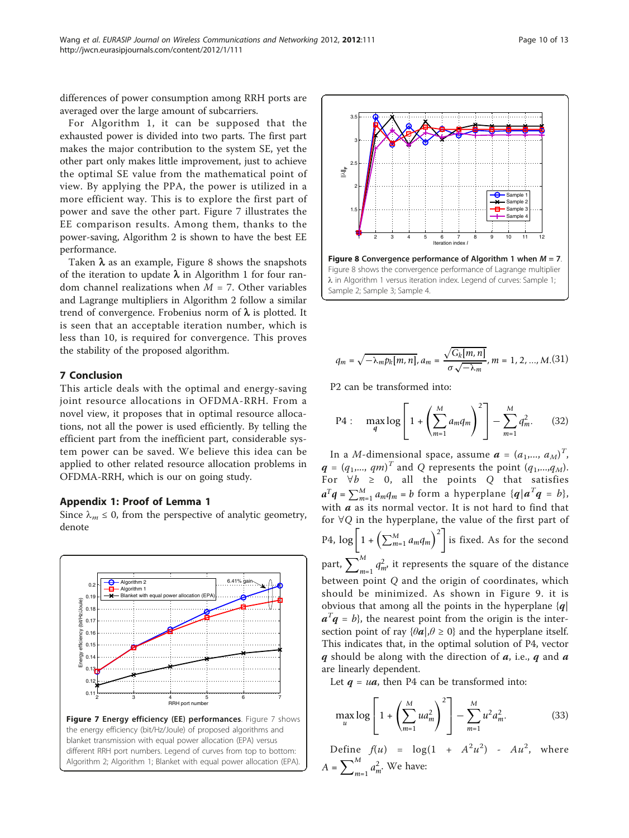<span id="page-9-0"></span>differences of power consumption among RRH ports are averaged over the large amount of subcarriers.

For Algorithm 1, it can be supposed that the exhausted power is divided into two parts. The first part makes the major contribution to the system SE, yet the other part only makes little improvement, just to achieve the optimal SE value from the mathematical point of view. By applying the PPA, the power is utilized in a more efficient way. This is to explore the first part of power and save the other part. Figure 7 illustrates the EE comparison results. Among them, thanks to the power-saving, Algorithm 2 is shown to have the best EE performance.

Taken  $\lambda$  as an example, Figure 8 shows the snapshots of the iteration to update  $\lambda$  in Algorithm 1 for four random channel realizations when  $M = 7$ . Other variables and Lagrange multipliers in Algorithm 2 follow a similar trend of convergence. Frobenius norm of  $\lambda$  is plotted. It is seen that an acceptable iteration number, which is less than 10, is required for convergence. This proves the stability of the proposed algorithm.

### 7 Conclusion

This article deals with the optimal and energy-saving joint resource allocations in OFDMA-RRH. From a novel view, it proposes that in optimal resource allocations, not all the power is used efficiently. By telling the efficient part from the inefficient part, considerable system power can be saved. We believe this idea can be applied to other related resource allocation problems in OFDMA-RRH, which is our on going study.

### Appendix 1: Proof of Lemma 1

Since  $\lambda_m \leq 0$ , from the perspective of analytic geometry, denote





$$
q_m = \sqrt{-\lambda_m p_k[m,n]}, a_m = \frac{\sqrt{G_k[m,n]}}{\sigma \sqrt{-\lambda_m}}, m = 1, 2, ..., M.(31)
$$

P2 can be transformed into:

P4: 
$$
\max_{q} \log \left[ 1 + \left( \sum_{m=1}^{M} a_m q_m \right)^2 \right] - \sum_{m=1}^{M} q_m^2.
$$
 (32)

In a *M*-dimensional space, assume  $\boldsymbol{a} = (a_1,..., a_M)^T$ <br>=  $(a_1,..., a_M)^T$  and *Q* represents the point  $(a_1,..., a_M)$  $q = (q_1,..., qm)^T$  and Q represents the point  $(q_1,...,q_m)$ .<br>For  $\forall h > 0$  all the points Q that satisfies For  $\forall b \geq 0$ , all the points Q that satisfies  $a^Tq = \sum_{m=1}^M a_mq_m = b$  form a hyperplane  $\{q | a^Tq = b\}$ , with  $a$  as its normal vector. It is not hard to find that for <sup>∀</sup>Q in the hyperplane, the value of the first part of P4,  $\log \left[ 1 + \left( \sum_{m=1}^{M} a_m q_m \right)^2 \right]$  is fixed. As for the second part,  $\sum_{m=1}^{M} q_{m'}^2$  it represents the square of the distance between point Q and the origin of coordinates, which should be minimized. As shown in Figure [9.](#page-10-0) it is obvious that among all the points in the hyperplane  $\{q\}$  $a^T q = b$ , the nearest point from the origin is the inter-<br>section point of ray  $\{a_{\alpha}\}\neq 0$  and the hyperplane itself section point of ray  $\{\theta \mathbf{a} | \theta \geq 0\}$  and the hyperplane itself. This indicates that, in the optimal solution of P4, vector q should be along with the direction of  $a$ , i.e., q and  $a$ are linearly dependent.

Let  $q = ua$ , then P4 can be transformed into:

$$
\max_{u} \log \left[ 1 + \left( \sum_{m=1}^{M} u a_m^2 \right)^2 \right] - \sum_{m=1}^{M} u^2 a_m^2. \tag{33}
$$

Define  $f(u) = \log(1 + A^2 u^2)$  -  $Au^2$ , where  $A = \sum_{m=1}^{M} a_m^2$ . We have: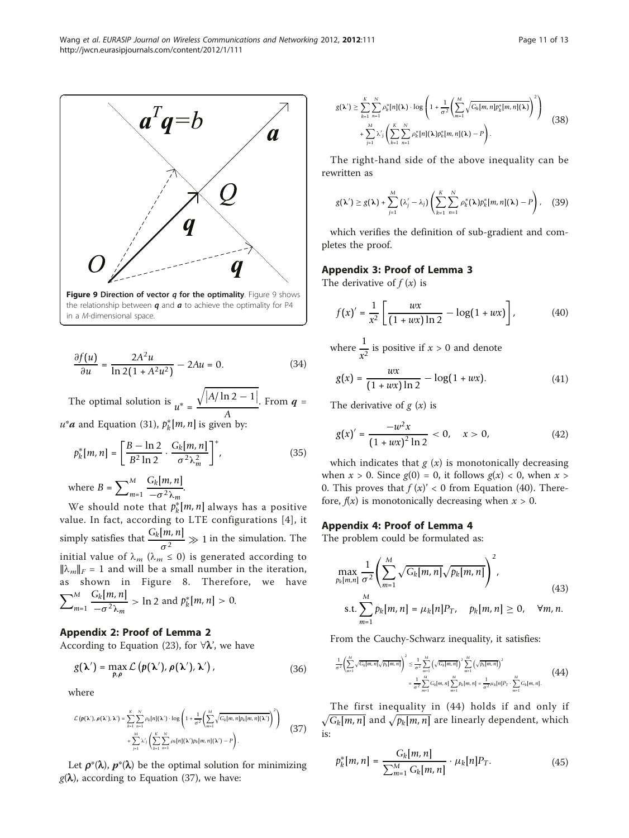<span id="page-10-0"></span>

Figure 9 Direction of vector  $q$  for the optimality. Figure 9 shows the relationship between  $q$  and  $q$  to achieve the optimality for P4 in a M-dimensional space.

$$
\frac{\partial f(u)}{\partial u} = \frac{2A^2u}{\ln 2(1 + A^2u^2)} - 2Au = 0.
$$
 (34)

The optimal solution is  $u^* =$  $\sqrt{|A| \ln 2 - 1}$ *A* . From  $q =$  $u^*$ **a** and Equation (31),  $p_k^*$ [*m*, *n*] is given by:

$$
p_k^*[m, n] = \left[\frac{B - \ln 2}{B^2 \ln 2} \cdot \frac{G_k[m, n]}{\sigma^2 \lambda_m^2}\right]^+,
$$
 (35)

where  $B = \sum_{A}^{M}$ *m*=1 *Gk*[*m*, *n*]  $-\sigma^2\lambda_m$ .

We should note that *p*<sup>∗</sup> *<sup>k</sup>* [*m*, *n*] always has a positive value. In fact, according to LTE configurations [[4](#page-11-0)], it simply satisfies that  $\frac{G_k[m,n]}{\sigma^2} \gg 1$  in the simulation. The initial value of  $\lambda_m$  ( $\lambda_m \leq 0$ ) is generated according to  $\|\lambda_m\|_F = 1$  and will be a small number in the iteration, as shown in Figure [8](#page-9-0). Therefore, we have  $\boldsymbol{\Sigma}^M$ *m*=1 *Gk*[*m*, *n*]  $\frac{\partial P_n[m,n]}{\partial \sigma^2 \lambda_m} > \ln 2$  and  $p_k^* [m,n] > 0$ .

### Appendix 2: Proof of Lemma 2

According to Equation (23), for  $\forall \lambda'$ , we have

$$
g(\lambda') = \max_{p,\rho} \mathcal{L}\left(p(\lambda'), \rho(\lambda'), \lambda'\right),\tag{36}
$$

where

$$
\mathcal{L}\left(p(\mathbf{\lambda}'),\rho(\mathbf{\lambda}'),\mathbf{\lambda'}\right) = \sum_{k=1}^{K} \sum_{n=1}^{N} \rho_k[n](\mathbf{\lambda}') \cdot \log\left(1 + \frac{1}{\sigma^2} \left(\sum_{m=1}^{M} \sqrt{G_k[m,n]p_k[m,n](\mathbf{\lambda'})}\right)^2\right) + \sum_{j=1}^{M} \lambda'_j \left(\sum_{k=1}^{K} \sum_{n=1}^{N} \rho_k[n](\mathbf{\lambda}')p_k[m,n](\mathbf{\lambda}') - P\right).
$$
\n(37)

Let  $\rho^*(\lambda)$ ,  $p^*(\lambda)$  be the optimal solution for minimizing  $g(\lambda)$ , according to Equation (37), we have:

$$
g(\lambda') \geq \sum_{k=1}^{K} \sum_{n=1}^{N} \rho_k^* [n](\lambda) \cdot \log \left( 1 + \frac{1}{\sigma^2} \left( \sum_{m=1}^{M} \sqrt{G_k[m, n] p_k^* [m, n](\lambda)} \right)^2 \right) + \sum_{j=1}^{M} \lambda'_j \left( \sum_{k=1}^{K} \sum_{n=1}^{N} \rho_k^* [n](\lambda) p_k^* [m, n](\lambda) - P \right).
$$
 (38)

The right-hand side of the above inequality can be rewritten as

$$
g(\lambda') \ge g(\lambda) + \sum_{j=1}^{M} (\lambda'_j - \lambda_j) \left( \sum_{k=1}^{K} \sum_{n=1}^{N} \rho_k^*(\lambda) p_k^*[m, n](\lambda) - P \right), \quad (39)
$$

which verifies the definition of sub-gradient and completes the proof.

### Appendix 3: Proof of Lemma 3

The derivative of  $f(x)$  is

$$
f(x)' = \frac{1}{x^2} \left[ \frac{wx}{(1+wx)\ln 2} - \log(1+wx) \right],
$$
 (40)

where  $\frac{1}{x^2}$  is positive if  $x > 0$  and denote

$$
g(x) = \frac{wx}{(1 + wx) \ln 2} - \log(1 + wx). \tag{41}
$$

The derivative of  $g(x)$  is

$$
g(x)' = \frac{-w^2x}{\left(1 + wx\right)^2 \ln 2} < 0, \quad x > 0,\tag{42}
$$

which indicates that  $g(x)$  is monotonically decreasing when  $x > 0$ . Since  $g(0) = 0$ , it follows  $g(x) < 0$ , when  $x > 0$ 0. This proves that  $f(x) < 0$  from Equation (40). Therefore,  $f(x)$  is monotonically decreasing when  $x > 0$ .

### Appendix 4: Proof of Lemma 4

The problem could be formulated as:

$$
\max_{p_k[m,n]} \frac{1}{\sigma^2} \left( \sum_{m=1}^M \sqrt{G_k[m,n]} \sqrt{p_k[m,n]} \right)^2,
$$
\n
$$
\text{s.t.} \sum_{m=1}^M p_k[m,n] = \mu_k[n] P_T, \quad p_k[m,n] \ge 0, \quad \forall m, n. \tag{43}
$$

From the Cauchy-Schwarz inequality, it satisfies:

$$
\frac{1}{\sigma^2} \left( \sum_{m=1}^M \sqrt{G_k[m,n]} \sqrt{p_k[m,n]} \right)^2 \leq \frac{1}{\sigma^2} \sum_{m=1}^M \left( \sqrt{G_k[m,n]} \right)^2 \sum_{m=1}^M \left( \sqrt{p_k[m,n]} \right)^2
$$
\n
$$
= \frac{1}{\sigma^2} \sum_{m=1}^M G_k[m,n] \sum_{m=1}^M p_k[m,n] = \frac{1}{\sigma^2} \mu_k[n] P_T \cdot \sum_{m=1}^M G_k[m,n].
$$
\n(44)

The first inequality in (44) holds if and only if  $\sqrt{G_k[m,n]}$  and  $\sqrt{p_k[m,n]}$  are linearly dependent, which is:

$$
p_k^*[m, n] = \frac{G_k[m, n]}{\sum_{m=1}^M G_k[m, n]} \cdot \mu_k[n] P_T.
$$
 (45)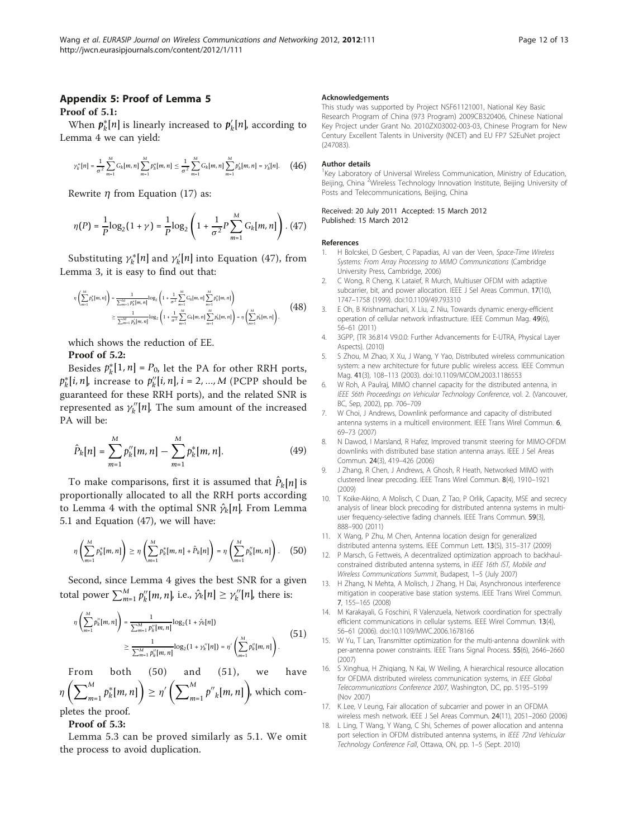### <span id="page-11-0"></span>Appendix 5: Proof of Lemma 5 Proof of 5.1:

When  $p_k^*[n]$  is linearly increased to  $p_k'[n]$ , according to Lemma 4 we can yield:

$$
\gamma_k^*[n]=\frac{1}{\sigma^2}\sum_{m=1}^M G_k[m,n]\sum_{m=1}^M p_k^*[m,n]\leq \frac{1}{\sigma^2}\sum_{m=1}^M G_k[m,n]\sum_{m=1}^M p_k'[m,n]=\gamma_k'[n]. \tag{46}
$$

Rewrite  $\eta$  from Equation (17) as:

$$
\eta(P) = \frac{1}{P}{\log _2}(1+\gamma) = \frac{1}{P}{\log _2}\left(1 + \frac{1}{\sigma^2}P\sum\limits_{m = 1}^M {\mathcal{G}_k}[m,n]\right) .\eqno(47)
$$

Substituting  $\gamma_k^* [n]$  and  $\gamma_k' [n]$  into Equation (47), from Lemma 3, it is easy to find out that:

$$
\eta \left( \sum_{m=1}^{M} p_{k}^{*}[m,n] \right) = \frac{1}{\sum_{m=1}^{M} p_{k}^{*}[m,n]} \log_{2} \left( 1 + \frac{1}{\sigma^{2}} \sum_{m=1}^{M} G_{k}[m,n] \sum_{m=1}^{M} p_{k}^{*}[m,n] \right)
$$
\n
$$
\geq \frac{1}{\sum_{m=1}^{M} p_{k}^{*}[m,n]} \log_{2} \left( 1 + \frac{1}{\sigma^{2}} \sum_{m=1}^{M} G_{k}[m,n] \sum_{m=1}^{M} p_{k}^{*}[m,n] \right) = \eta \left( \sum_{m=1}^{M} p_{k}^{*}[m,n] \right), \tag{48}
$$

which shows the reduction of EE.

Proof of 5.2:

Besides  $p_k^*[1, n] = P_0$ , let the PA for other RRH ports,  $p_k^*[i, n]$ , increase to  $p_k''[i, n]$ ,  $i = 2, ..., M$  (PCPP should be guaranteed for these RRH ports), and the related SNR is represented as  $\gamma_k''[n]$ . The sum amount of the increased PA will be:

$$
\hat{P}_k[n] = \sum_{m=1}^{M} p_k''[m,n] - \sum_{m=1}^{M} p_k^*[m,n].
$$
\n(49)

To make comparisons, first it is assumed that  $\hat{P}_k[n]$  is proportionally allocated to all the RRH ports according to Lemma 4 with the optimal SNR  $\hat{\gamma}_k[n]$ . From Lemma 5.1 and Equation (47), we will have:

$$
\eta\left(\sum_{m=1}^{M} p_k^* [m,n]\right) \ge \eta\left(\sum_{m=1}^{M} p_k^* [m,n] + \hat{P}_k[n]\right) = \eta\left(\sum_{m=1}^{M} p_k'' [m,n]\right). \quad (50)
$$

Second, since Lemma 4 gives the best SNR for a given total power  $\sum_{m=1}^{M} p_k''[m, n]$ , i.e.,  $\hat{\gamma}_k[n] \geq \gamma_k''[n]$ , there is:

$$
\eta\left(\sum_{m=1}^{M} p_{k}^{"}[m,n]\right) = \frac{1}{\sum_{m=1}^{M} p_{k}^{"}[m,n]} \log_2(1+\hat{\gamma}_{k}[n])
$$
\n
$$
\geq \frac{1}{\sum_{m=1}^{M} p_{k}^{"}[m,n]} \log_2(1+\gamma_{k}^{"}[n]) = \eta'\left(\sum_{m=1}^{M} p_{k}^{"}[m,n]\right).
$$
\n(51)

From both (50) and (51), we have  $\eta\left(\sum\nolimits_{m=1}^{M} p_k^{*}[m,n]\right) \geq \eta'\left(\sum\nolimits_{m=1}^{M} p''_k[m,n]\right)$ , which completes the proof.

Proof of 5.3:

Lemma 5.3 can be proved similarly as 5.1. We omit the process to avoid duplication.

### Acknowledgements

This study was supported by Project NSF61121001, National Key Basic Research Program of China (973 Program) 2009CB320406, Chinese National Key Project under Grant No. 2010ZX03002-003-03, Chinese Program for New Century Excellent Talents in University (NCET) and EU FP7 S2EuNet project (247083).

### Author details

<sup>1</sup> Key Laboratory of Universal Wireless Communication, Ministry of Education Beijing, China <sup>2</sup>Wireless Technology Innovation Institute, Beijing University of Posts and Telecommunications, Beijing, China

### Received: 20 July 2011 Accepted: 15 March 2012 Published: 15 March 2012

### References

- 1. H Bolcskei, D Gesbert, C Papadias, AJ van der Veen, Space-Time Wireless Systems: From Array Processing to MIMO Communications (Cambridge University Press, Cambridge, 2006)
- 2. C Wong, R Cheng, K Lataief, R Murch, Multiuser OFDM with adaptive subcarrier, bit, and power allocation. IEEE J Sel Areas Commun. 17(10), 1747–1758 (1999). doi:10.1109/49.793310
- 3. E Oh, B Krishnamachari, X Liu, Z Niu, Towards dynamic energy-efficient operation of cellular network infrastructure. IEEE Commun Mag. 49(6), 56–61 (2011)
- 4. 3GPP, {TR 36.814 V9.0.0: Further Advancements for E-UTRA, Physical Layer Aspects}. (2010)
- 5. S Zhou, M Zhao, X Xu, J Wang, Y Yao, Distributed wireless communication system: a new architecture for future public wireless access. IEEE Commun Mag. 41(3), 108–113 (2003). doi:10.1109/MCOM.2003.1186553
- 6. W Roh, A Paulraj, MIMO channel capacity for the distributed antenna, in IEEE 56th Proceedings on Vehicular Technology Conference, vol. 2. (Vancouver, BC, Sep, 2002), pp. 706–709
- 7. W Choi, J Andrews, Downlink performance and capacity of distributed antenna systems in a multicell environment. IEEE Trans Wirel Commun. 6, 69–73 (2007)
- 8. N Dawod, I Marsland, R Hafez, Improved transmit steering for MIMO-OFDM downlinks with distributed base station antenna arrays. IEEE J Sel Areas Commun. 24(3), 419–426 (2006)
- 9. J Zhang, R Chen, J Andrews, A Ghosh, R Heath, Networked MIMO with clustered linear precoding. IEEE Trans Wirel Commun. 8(4), 1910–1921 (2009)
- 10. T Koike-Akino, A Molisch, C Duan, Z Tao, P Orlik, Capacity, MSE and secrecy analysis of linear block precoding for distributed antenna systems in multiuser frequency-selective fading channels. IEEE Trans Commun. 59(3), 888–900 (2011)
- 11. X Wang, P Zhu, M Chen, Antenna location design for generalized distributed antenna systems. IEEE Commun Lett. 13(5), 315–317 (2009)
- 12. P Marsch, G Fettweis, A decentralized optimization approach to backhaulconstrained distributed antenna systems, in IEEE 16th IST, Mobile and Wireless Communications Summit, Budapest, 1–5 (July 2007)
- 13. H Zhang, N Mehta, A Molisch, J Zhang, H Dai, Asynchronous interference mitigation in cooperative base station systems. IEEE Trans Wirel Commun. 7, 155–165 (2008)
- 14. M Karakayali, G Foschini, R Valenzuela, Network coordination for spectrally efficient communications in cellular systems. IEEE Wirel Commun. 13(4), 56–61 (2006). doi:10.1109/MWC.2006.1678166
- 15. W Yu, T Lan, Transmitter optimization for the multi-antenna downlink with per-antenna power constraints. IEEE Trans Signal Process. 55(6), 2646–2660 (2007)
- 16. S Xinghua, H Zhiqiang, N Kai, W Weiling, A hierarchical resource allocation for OFDMA distributed wireless communication systems, in IEEE Global Telecommunications Conference 2007, Washington, DC, pp. 5195–5199 (Nov 2007)
- 17. K Lee, V Leung, Fair allocation of subcarrier and power in an OFDMA wireless mesh network. IEEE J Sel Areas Commun. 24(11), 2051-2060 (2006)
- 18. L Ling, T Wang, Y Wang, C Shi, Schemes of power allocation and antenna port selection in OFDM distributed antenna systems, in IEEE 72nd Vehicular Technology Conference Fall, Ottawa, ON, pp. 1–5 (Sept. 2010)